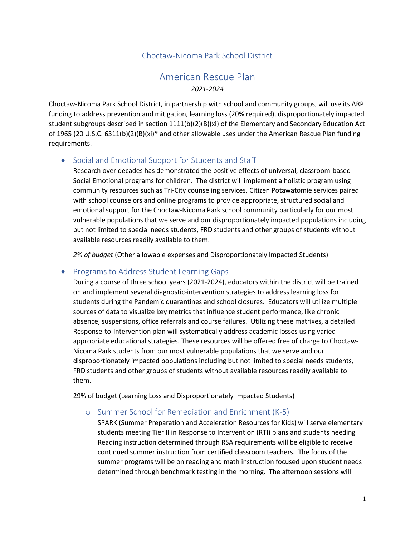## Choctaw-Nicoma Park School District

# American Rescue Plan *2021-2024*

Choctaw-Nicoma Park School District, in partnership with school and community groups, will use its ARP funding to address prevention and mitigation, learning loss (20% required), disproportionately impacted student subgroups described in section 1111(b)(2)(B)(xi) of the Elementary and Secondary Education Act of 1965 (20 U.S.C. 6311(b)(2)(B)(xi)\* and other allowable uses under the American Rescue Plan funding requirements.

## • Social and Emotional Support for Students and Staff

Research over decades has demonstrated the positive effects of universal, classroom-based Social Emotional programs for children. The district will implement a holistic program using community resources such as Tri-City counseling services, Citizen Potawatomie services paired with school counselors and online programs to provide appropriate, structured social and emotional support for the Choctaw-Nicoma Park school community particularly for our most vulnerable populations that we serve and our disproportionately impacted populations including but not limited to special needs students, FRD students and other groups of students without available resources readily available to them.

*2% of budget* (Other allowable expenses and Disproportionately Impacted Students)

## • Programs to Address Student Learning Gaps

During a course of three school years (2021-2024), educators within the district will be trained on and implement several diagnostic-intervention strategies to address learning loss for students during the Pandemic quarantines and school closures. Educators will utilize multiple sources of data to visualize key metrics that influence student performance, like chronic absence, suspensions, office referrals and course failures. Utilizing these matrixes, a detailed Response-to-Intervention plan will systematically address academic losses using varied appropriate educational strategies. These resources will be offered free of charge to Choctaw-Nicoma Park students from our most vulnerable populations that we serve and our disproportionately impacted populations including but not limited to special needs students, FRD students and other groups of students without available resources readily available to them.

29% of budget (Learning Loss and Disproportionately Impacted Students)

#### o Summer School for Remediation and Enrichment (K-5)

SPARK (Summer Preparation and Acceleration Resources for Kids) will serve elementary students meeting Tier II in Response to Intervention (RTI) plans and students needing Reading instruction determined through RSA requirements will be eligible to receive continued summer instruction from certified classroom teachers. The focus of the summer programs will be on reading and math instruction focused upon student needs determined through benchmark testing in the morning. The afternoon sessions will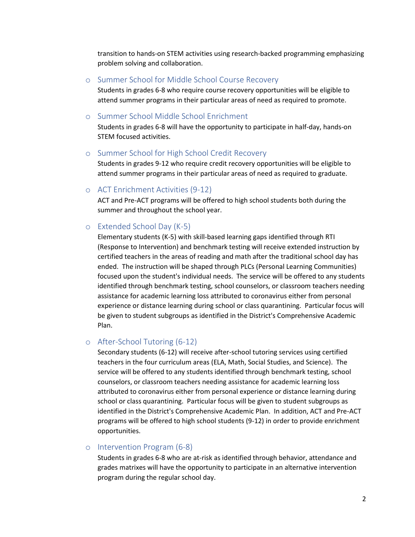transition to hands-on STEM activities using research-backed programming emphasizing problem solving and collaboration.

#### o Summer School for Middle School Course Recovery

Students in grades 6-8 who require course recovery opportunities will be eligible to attend summer programs in their particular areas of need as required to promote.

#### o Summer School Middle School Enrichment

Students in grades 6-8 will have the opportunity to participate in half-day, hands-on STEM focused activities.

#### o Summer School for High School Credit Recovery

Students in grades 9-12 who require credit recovery opportunities will be eligible to attend summer programs in their particular areas of need as required to graduate.

#### o ACT Enrichment Activities (9-12)

ACT and Pre-ACT programs will be offered to high school students both during the summer and throughout the school year.

#### o Extended School Day (K-5)

Elementary students (K-5) with skill-based learning gaps identified through RTI (Response to Intervention) and benchmark testing will receive extended instruction by certified teachers in the areas of reading and math after the traditional school day has ended. The instruction will be shaped through PLCs (Personal Learning Communities) focused upon the student's individual needs. The service will be offered to any students identified through benchmark testing, school counselors, or classroom teachers needing assistance for academic learning loss attributed to coronavirus either from personal experience or distance learning during school or class quarantining. Particular focus will be given to student subgroups as identified in the District's Comprehensive Academic Plan.

## o After-School Tutoring (6-12)

Secondary students (6-12) will receive after-school tutoring services using certified teachers in the four curriculum areas (ELA, Math, Social Studies, and Science). The service will be offered to any students identified through benchmark testing, school counselors, or classroom teachers needing assistance for academic learning loss attributed to coronavirus either from personal experience or distance learning during school or class quarantining. Particular focus will be given to student subgroups as identified in the District's Comprehensive Academic Plan. In addition, ACT and Pre-ACT programs will be offered to high school students (9-12) in order to provide enrichment opportunities.

### o Intervention Program (6-8)

Students in grades 6-8 who are at-risk as identified through behavior, attendance and grades matrixes will have the opportunity to participate in an alternative intervention program during the regular school day.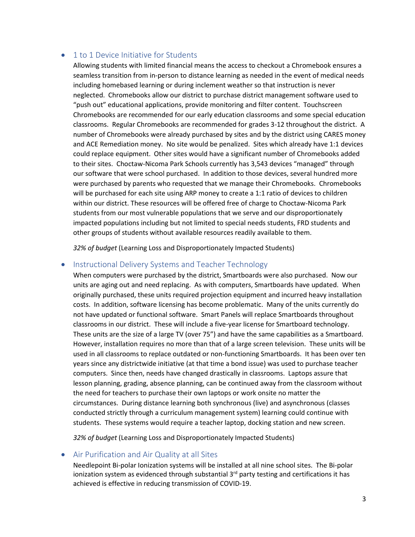## • 1 to 1 Device Initiative for Students

Allowing students with limited financial means the access to checkout a Chromebook ensures a seamless transition from in-person to distance learning as needed in the event of medical needs including homebased learning or during inclement weather so that instruction is never neglected. Chromebooks allow our district to purchase district management software used to "push out" educational applications, provide monitoring and filter content. Touchscreen Chromebooks are recommended for our early education classrooms and some special education classrooms. Regular Chromebooks are recommended for grades 3-12 throughout the district. A number of Chromebooks were already purchased by sites and by the district using CARES money and ACE Remediation money. No site would be penalized. Sites which already have 1:1 devices could replace equipment. Other sites would have a significant number of Chromebooks added to their sites. Choctaw-Nicoma Park Schools currently has 3,543 devices "managed" through our software that were school purchased. In addition to those devices, several hundred more were purchased by parents who requested that we manage their Chromebooks. Chromebooks will be purchased for each site using ARP money to create a 1:1 ratio of devices to children within our district. These resources will be offered free of charge to Choctaw-Nicoma Park students from our most vulnerable populations that we serve and our disproportionately impacted populations including but not limited to special needs students, FRD students and other groups of students without available resources readily available to them.

*32% of budget* (Learning Loss and Disproportionately Impacted Students)

## • Instructional Delivery Systems and Teacher Technology

When computers were purchased by the district, Smartboards were also purchased. Now our units are aging out and need replacing. As with computers, Smartboards have updated. When originally purchased, these units required projection equipment and incurred heavy installation costs. In addition, software licensing has become problematic. Many of the units currently do not have updated or functional software. Smart Panels will replace Smartboards throughout classrooms in our district. These will include a five-year license for Smartboard technology. These units are the size of a large TV (over 75") and have the same capabilities as a Smartboard. However, installation requires no more than that of a large screen television. These units will be used in all classrooms to replace outdated or non-functioning Smartboards. It has been over ten years since any districtwide initiative (at that time a bond issue) was used to purchase teacher computers. Since then, needs have changed drastically in classrooms. Laptops assure that lesson planning, grading, absence planning, can be continued away from the classroom without the need for teachers to purchase their own laptops or work onsite no matter the circumstances. During distance learning both synchronous (live) and asynchronous (classes conducted strictly through a curriculum management system) learning could continue with students. These systems would require a teacher laptop, docking station and new screen.

*32% of budget* (Learning Loss and Disproportionately Impacted Students)

#### • Air Purification and Air Quality at all Sites

Needlepoint Bi-polar Ionization systems will be installed at all nine school sites. The Bi-polar ionization system as evidenced through substantial 3<sup>rd</sup> party testing and certifications it has achieved is effective in reducing transmission of COVID-19.